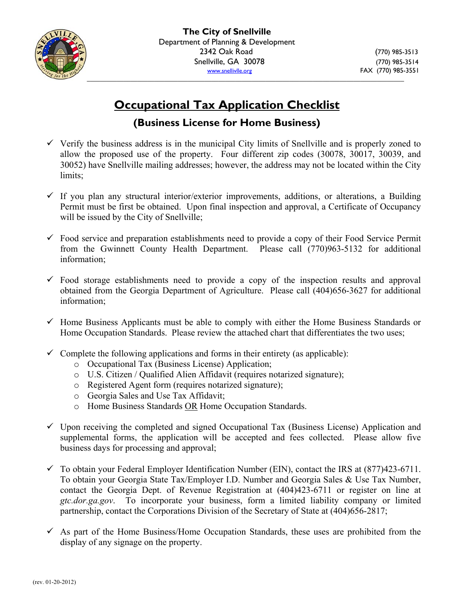

# **Occupational Tax Application Checklist**

### **(Business License for Home Business)**

- $\checkmark$  Verify the business address is in the municipal City limits of Snellville and is properly zoned to allow the proposed use of the property. Four different zip codes (30078, 30017, 30039, and 30052) have Snellville mailing addresses; however, the address may not be located within the City limits;
- $\checkmark$  If you plan any structural interior/exterior improvements, additions, or alterations, a Building Permit must be first be obtained. Upon final inspection and approval, a Certificate of Occupancy will be issued by the City of Snellville;
- $\checkmark$  Food service and preparation establishments need to provide a copy of their Food Service Permit from the Gwinnett County Health Department. Please call (770)963-5132 for additional information;
- $\checkmark$  Food storage establishments need to provide a copy of the inspection results and approval obtained from the Georgia Department of Agriculture. Please call (404)656-3627 for additional information;
- $\checkmark$  Home Business Applicants must be able to comply with either the Home Business Standards or Home Occupation Standards. Please review the attached chart that differentiates the two uses;
- $\checkmark$  Complete the following applications and forms in their entirety (as applicable):
	- o Occupational Tax (Business License) Application;
	- o U.S. Citizen / Qualified Alien Affidavit (requires notarized signature);
	- o Registered Agent form (requires notarized signature);
	- o Georgia Sales and Use Tax Affidavit;
	- o Home Business Standards OR Home Occupation Standards.
- $\checkmark$  Upon receiving the completed and signed Occupational Tax (Business License) Application and supplemental forms, the application will be accepted and fees collected. Please allow five business days for processing and approval;
- $\checkmark$  To obtain your Federal Employer Identification Number (EIN), contact the IRS at (877)423-6711. To obtain your Georgia State Tax/Employer I.D. Number and Georgia Sales & Use Tax Number, contact the Georgia Dept. of Revenue Registration at (404)423-6711 or register on line at *gtc.dor.ga.gov*. To incorporate your business, form a limited liability company or limited partnership, contact the Corporations Division of the Secretary of State at (404)656-2817;
- $\checkmark$  As part of the Home Business/Home Occupation Standards, these uses are prohibited from the display of any signage on the property.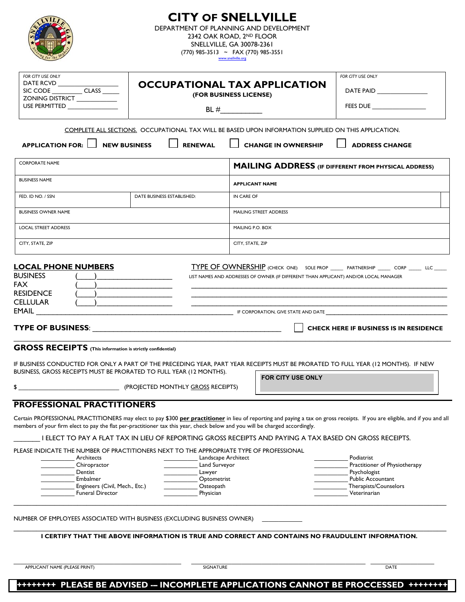|                                                                                                                                                                                                                                                                                              |                                                                                         | <b>CITY OF SNELLVILLE</b><br>DEPARTMENT OF PLANNING AND DEVELOPMENT<br>2342 OAK ROAD, 2ND FLOOR<br>SNELLVILLE, GA 30078-2361<br>(770) 985-3513 ~ FAX (770) 985-3551<br>www.snellville.org |                                                                                                                                                                             |
|----------------------------------------------------------------------------------------------------------------------------------------------------------------------------------------------------------------------------------------------------------------------------------------------|-----------------------------------------------------------------------------------------|-------------------------------------------------------------------------------------------------------------------------------------------------------------------------------------------|-----------------------------------------------------------------------------------------------------------------------------------------------------------------------------|
| FOR CITY USE ONLY<br>DATE RCVD<br>SIC CODE ___________ CLASS ______<br>ZONING DISTRICT ___________                                                                                                                                                                                           | <b>OCCUPATIONAL TAX APPLICATION</b><br>(FOR BUSINESS LICENSE)                           |                                                                                                                                                                                           | FOR CITY USE ONLY<br>DATE PAID                                                                                                                                              |
| USE PERMITTED ________________                                                                                                                                                                                                                                                               |                                                                                         |                                                                                                                                                                                           | FEES DUE                                                                                                                                                                    |
|                                                                                                                                                                                                                                                                                              |                                                                                         | COMPLETE ALL SECTIONS. OCCUPATIONAL TAX WILL BE BASED UPON INFORMATION SUPPLIED ON THIS APPLICATION.                                                                                      |                                                                                                                                                                             |
| <b>APPLICATION FOR:</b><br>NEW BUSINESS                                                                                                                                                                                                                                                      | <b>RENEWAL</b>                                                                          | <b>CHANGE IN OWNERSHIP</b>                                                                                                                                                                | <b>ADDRESS CHANGE</b>                                                                                                                                                       |
| <b>CORPORATE NAME</b>                                                                                                                                                                                                                                                                        |                                                                                         |                                                                                                                                                                                           | <b>MAILING ADDRESS</b> (IF DIFFERENT FROM PHYSICAL ADDRESS)                                                                                                                 |
| <b>BUSINESS NAME</b>                                                                                                                                                                                                                                                                         |                                                                                         | <b>APPLICANT NAME</b>                                                                                                                                                                     |                                                                                                                                                                             |
| FED. ID NO. / SSN                                                                                                                                                                                                                                                                            | DATE BUSINESS ESTABLISHED:                                                              | IN CARE OF                                                                                                                                                                                |                                                                                                                                                                             |
| <b>BUSINESS OWNER NAME</b>                                                                                                                                                                                                                                                                   |                                                                                         | MAILING STREET ADDRESS                                                                                                                                                                    |                                                                                                                                                                             |
| <b>LOCAL STREET ADDRESS</b>                                                                                                                                                                                                                                                                  |                                                                                         | MAILING P.O. BOX                                                                                                                                                                          |                                                                                                                                                                             |
| CITY, STATE, ZIP                                                                                                                                                                                                                                                                             |                                                                                         | CITY, STATE, ZIP                                                                                                                                                                          |                                                                                                                                                                             |
| EMAIL<br><b>GROSS RECEIPTS</b> (This information is strictly confidential)<br>IF BUSINESS CONDUCTED FOR ONLY A PART OF THE PRECEDING YEAR, PART YEAR RECEIPTS MUST BE PRORATED TO FULL YEAR (12 MONTHS). IF NEW<br>BUSINESS, GROSS RECEIPTS MUST BE PRORATED TO FULL YEAR (12 MONTHS).<br>\$ | (PROJECTED MONTHLY GROSS RECEIPTS)                                                      | FOR CITY USE ONLY                                                                                                                                                                         | <b>CHECK HERE IF BUSINESS IS IN RESIDENCE</b>                                                                                                                               |
| <b>PROFESSIONAL PRACTITIONERS</b><br>members of your firm elect to pay the flat per-practitioner tax this year, check below and you will be charged accordingly.                                                                                                                             |                                                                                         | I ELECT TO PAY A FLAT TAX IN LIEU OF REPORTING GROSS RECEIPTS AND PAYING A TAX BASED ON GROSS RECEIPTS.                                                                                   | Certain PROFESSIONAL PRACTITIONERS may elect to pay \$300 per practitioner in lieu of reporting and paying a tax on gross receipts. If you are eligible, and if you and all |
| PLEASE INDICATE THE NUMBER OF PRACTITIONERS NEXT TO THE APPROPRIATE TYPE OF PROFESSIONAL<br>Architects<br>Chiropractor<br>Dentist<br>Embalmer<br>Engineers (Civil, Mech., Etc.)<br><b>Funeral Director</b>                                                                                   | Landscape Architect<br>Land Surveyor<br>Lawyer<br>Optometrist<br>Osteopath<br>Physician |                                                                                                                                                                                           | Podiatrist<br>Practitioner of Physiotherapy<br>Psychologist<br><b>Public Accountant</b><br>Therapists/Counselors<br>Veterinarian                                            |
| NUMBER OF EMPLOYEES ASSOCIATED WITH BUSINESS (EXCLUDING BUSINESS OWNER)                                                                                                                                                                                                                      |                                                                                         |                                                                                                                                                                                           |                                                                                                                                                                             |
|                                                                                                                                                                                                                                                                                              |                                                                                         | I CERTIFY THAT THE ABOVE INFORMATION IS TRUE AND CORRECT AND CONTAINS NO FRAUDULENT INFORMATION.                                                                                          |                                                                                                                                                                             |
| APPLICANT NAME (PLEASE PRINT)                                                                                                                                                                                                                                                                | SIGNATURE                                                                               |                                                                                                                                                                                           | DATE                                                                                                                                                                        |
| ********                                                                                                                                                                                                                                                                                     |                                                                                         | PLEASE BE ADVISED -- INCOMPLETE APPLICATIONS CANNOT BE PROCCESSED ++++                                                                                                                    |                                                                                                                                                                             |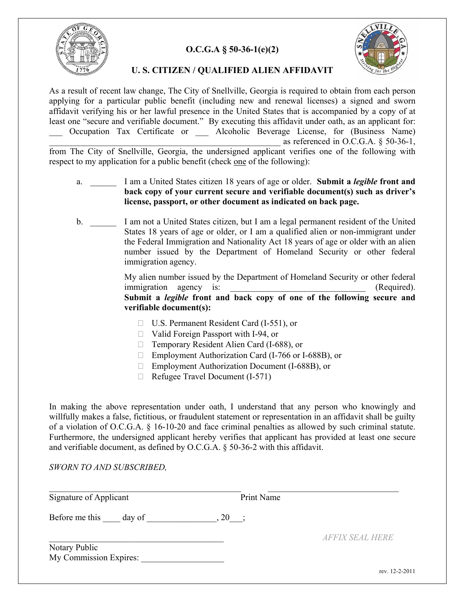

#### **O.C.G.A § 50-36-1(e)(2)**



#### **U. S. CITIZEN / QUALIFIED ALIEN AFFIDAVIT**

As a result of recent law change, The City of Snellville, Georgia is required to obtain from each person applying for a particular public benefit (including new and renewal licenses) a signed and sworn affidavit verifying his or her lawful presence in the United States that is accompanied by a copy of at least one "secure and verifiable document." By executing this affidavit under oath, as an applicant for: \_\_\_ Occupation Tax Certificate or \_\_\_ Alcoholic Beverage License, for (Business Name) as referenced in O.C.G.A.  $\S$  50-36-1, from The City of Snellville, Georgia, the undersigned applicant verifies one of the following with

respect to my application for a public benefit (check one of the following):

- a. \_\_\_\_\_\_ I am a United States citizen 18 years of age or older. **Submit a** *legible* **front and back copy of your current secure and verifiable document(s) such as driver's license, passport, or other document as indicated on back page.**
- b. I am not a United States citizen, but I am a legal permanent resident of the United States 18 years of age or older, or I am a qualified alien or non-immigrant under the Federal Immigration and Nationality Act 18 years of age or older with an alien number issued by the Department of Homeland Security or other federal immigration agency.

 My alien number issued by the Department of Homeland Security or other federal immigration agency is:  $(Required)$ . **Submit a** *legible* **front and back copy of one of the following secure and verifiable document(s):** 

- □ U.S. Permanent Resident Card (I-551), or
- □ Valid Foreign Passport with I-94, or
- □ Temporary Resident Alien Card (I-688), or
- Employment Authorization Card (I-766 or I-688B), or
- Employment Authorization Document (I-688B), or
- $\Box$  Refugee Travel Document (I-571)

In making the above representation under oath, I understand that any person who knowingly and willfully makes a false, fictitious, or fraudulent statement or representation in an affidavit shall be guilty of a violation of O.C.G.A. § 16-10-20 and face criminal penalties as allowed by such criminal statute. Furthermore, the undersigned applicant hereby verifies that applicant has provided at least one secure and verifiable document, as defined by O.C.G.A. § 50-36-2 with this affidavit.

*SWORN TO AND SUBSCRIBED,* 

| Signature of Applicant | Print Name |                               |
|------------------------|------------|-------------------------------|
| Before me this day of  | $, 20$ ;   |                               |
|                        |            | <i><b>AFFIX SEAL HERE</b></i> |
| Notary Public          |            |                               |
| My Commission Expires: |            |                               |
|                        |            | rev $12 - 2 - 2011$           |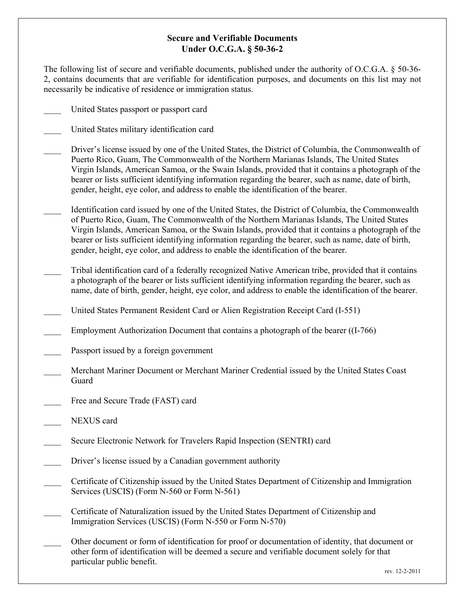#### **Secure and Verifiable Documents Under O.C.G.A. § 50-36-2**

The following list of secure and verifiable documents, published under the authority of O.C.G.A. § 50-36- 2, contains documents that are verifiable for identification purposes, and documents on this list may not necessarily be indicative of residence or immigration status.

- United States passport or passport card
- United States military identification card
- \_\_\_\_ Driver's license issued by one of the United States, the District of Columbia, the Commonwealth of Puerto Rico, Guam, The Commonwealth of the Northern Marianas Islands, The United States Virgin Islands, American Samoa, or the Swain Islands, provided that it contains a photograph of the bearer or lists sufficient identifying information regarding the bearer, such as name, date of birth, gender, height, eye color, and address to enable the identification of the bearer.
- \_\_\_\_ Identification card issued by one of the United States, the District of Columbia, the Commonwealth of Puerto Rico, Guam, The Commonwealth of the Northern Marianas Islands, The United States Virgin Islands, American Samoa, or the Swain Islands, provided that it contains a photograph of the bearer or lists sufficient identifying information regarding the bearer, such as name, date of birth, gender, height, eye color, and address to enable the identification of the bearer.
- \_\_\_\_ Tribal identification card of a federally recognized Native American tribe, provided that it contains a photograph of the bearer or lists sufficient identifying information regarding the bearer, such as name, date of birth, gender, height, eye color, and address to enable the identification of the bearer.
	- \_\_\_\_ United States Permanent Resident Card or Alien Registration Receipt Card (I-551)
- Employment Authorization Document that contains a photograph of the bearer ((I-766)
- Passport issued by a foreign government
- \_\_\_\_ Merchant Mariner Document or Merchant Mariner Credential issued by the United States Coast Guard
- Free and Secure Trade (FAST) card
- NEXUS card
- Secure Electronic Network for Travelers Rapid Inspection (SENTRI) card
- Driver's license issued by a Canadian government authority
- \_\_\_\_ Certificate of Citizenship issued by the United States Department of Citizenship and Immigration Services (USCIS) (Form N-560 or Form N-561)
	- \_\_\_\_ Certificate of Naturalization issued by the United States Department of Citizenship and Immigration Services (USCIS) (Form N-550 or Form N-570)
- \_\_\_\_ Other document or form of identification for proof or documentation of identity, that document or other form of identification will be deemed a secure and verifiable document solely for that particular public benefit.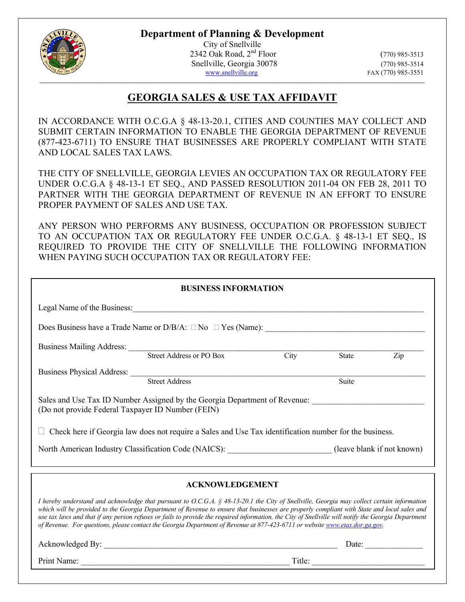**Department of Planning & Development** 



City of Snellville 2342 Oak Road, 2nd Floor (770) 985-3513 Snellville, Georgia 30078 (770) 985-3514<br>www.snellville.org FAX (770) 985-3551

FAX (770) 985-3551

## **GEORGIA SALES & USE TAX AFFIDAVIT**

IN ACCORDANCE WITH O.C.G.A § 48-13-20.1, CITIES AND COUNTIES MAY COLLECT AND SUBMIT CERTAIN INFORMATION TO ENABLE THE GEORGIA DEPARTMENT OF REVENUE (877-423-6711) TO ENSURE THAT BUSINESSES ARE PROPERLY COMPLIANT WITH STATE AND LOCAL SALES TAX LAWS.

THE CITY OF SNELLVILLE, GEORGIA LEVIES AN OCCUPATION TAX OR REGULATORY FEE UNDER O.C.G.A § 48-13-1 ET SEQ., AND PASSED RESOLUTION 2011-04 ON FEB 28, 2011 TO PARTNER WITH THE GEORGIA DEPARTMENT OF REVENUE IN AN EFFORT TO ENSURE PROPER PAYMENT OF SALES AND USE TAX.

ANY PERSON WHO PERFORMS ANY BUSINESS, OCCUPATION OR PROFESSION SUBJECT TO AN OCCUPATION TAX OR REGULATORY FEE UNDER O.C.G.A. § 48-13-1 ET SEQ., IS REQUIRED TO PROVIDE THE CITY OF SNELLVILLE THE FOLLOWING INFORMATION WHEN PAYING SUCH OCCUPATION TAX OR REGULATORY FEE:

| <b>BUSINESS INFORMATION</b>                                                                                                                                                                                                                                                                                                                                                                                                                                                                                                                                                     |  |       |     |
|---------------------------------------------------------------------------------------------------------------------------------------------------------------------------------------------------------------------------------------------------------------------------------------------------------------------------------------------------------------------------------------------------------------------------------------------------------------------------------------------------------------------------------------------------------------------------------|--|-------|-----|
|                                                                                                                                                                                                                                                                                                                                                                                                                                                                                                                                                                                 |  |       |     |
|                                                                                                                                                                                                                                                                                                                                                                                                                                                                                                                                                                                 |  |       |     |
|                                                                                                                                                                                                                                                                                                                                                                                                                                                                                                                                                                                 |  |       |     |
| Business Mailing Address: Street Address or PO Box City                                                                                                                                                                                                                                                                                                                                                                                                                                                                                                                         |  | State | Zip |
| Business Physical Address: Street Address                                                                                                                                                                                                                                                                                                                                                                                                                                                                                                                                       |  |       |     |
|                                                                                                                                                                                                                                                                                                                                                                                                                                                                                                                                                                                 |  | Suite |     |
| Sales and Use Tax ID Number Assigned by the Georgia Department of Revenue: _________________________<br>(Do not provide Federal Taxpayer ID Number (FEIN)<br>Check here if Georgia law does not require a Sales and Use Tax identification number for the business.                                                                                                                                                                                                                                                                                                             |  |       |     |
| North American Industry Classification Code (NAICS): (leave blank if not known)                                                                                                                                                                                                                                                                                                                                                                                                                                                                                                 |  |       |     |
|                                                                                                                                                                                                                                                                                                                                                                                                                                                                                                                                                                                 |  |       |     |
| <b>ACKNOWLEDGEMENT</b>                                                                                                                                                                                                                                                                                                                                                                                                                                                                                                                                                          |  |       |     |
| I hereby understand and acknowledge that pursuant to O.C.G.A. § 48-13-20.1 the City of Snellville, Georgia may collect certain information<br>which will be provided to the Georgia Department of Revenue to ensure that businesses are properly compliant with State and local sales and<br>use tax laws and that if any person refuses or fails to provide the required information, the City of Snellville will notify the Georgia Department<br>of Revenue. For questions, please contact the Georgia Department of Revenue at 877-423-6711 or website www.etax.dor.ga.gov. |  |       |     |
| Date:                                                                                                                                                                                                                                                                                                                                                                                                                                                                                                                                                                           |  |       |     |

Print Name: Title: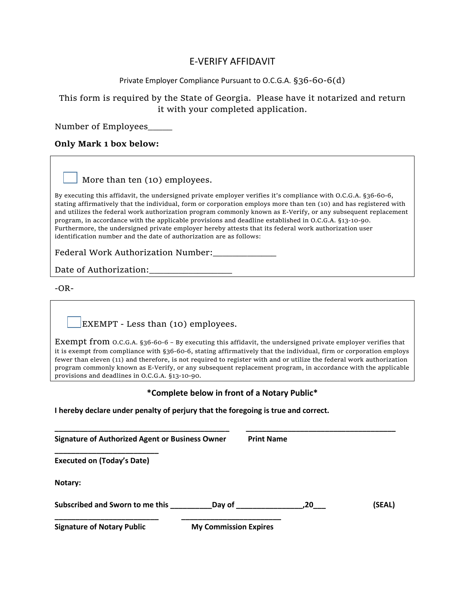#### E-VERIFY AFFIDAVIT

#### Private Employer Compliance Pursuant to O.C.G.A. §36-60-6(d)

#### This form is required by the State of Georgia. Please have it notarized and return it with your completed application.

Number of Employees\_\_\_\_\_

#### **Only Mark 1 box below:**

#### More than ten (10) employees.

By executing this affidavit, the undersigned private employer verifies it's compliance with O.C.G.A. §36-60-6, stating affirmatively that the individual, form or corporation employs more than ten (10) and has registered with and utilizes the federal work authorization program commonly known as E-Verify, or any subsequent replacement program, in accordance with the applicable provisions and deadline established in O.C.G.A. §13-10-90. Furthermore, the undersigned private employer hereby attests that its federal work authorization user identification number and the date of authorization are as follows:

Federal Work Authorization Number:\_\_\_\_\_\_\_\_\_\_\_\_\_

Date of Authorization:\_\_\_\_\_\_\_\_\_\_\_\_\_\_\_\_\_

-OR-

EXEMPT - Less than (10) employees.

Exempt from O.C.G.A. §36-60-6 – By executing this affidavit, the undersigned private employer verifies that it is exempt from compliance with §36-60-6, stating affirmatively that the individual, firm or corporation employs fewer than eleven (11) and therefore, is not required to register with and or utilize the federal work authorization program commonly known as E-Verify, or any subsequent replacement program, in accordance with the applicable provisions and deadlines in O.C.G.A. §13-10-90.

#### **\*Complete below in front of a Notary Public\***

**I hereby declare under penalty of perjury that the foregoing is true and correct.**

| <b>Signature of Authorized Agent or Business Owner</b> |                              | <b>Print Name</b> |        |
|--------------------------------------------------------|------------------------------|-------------------|--------|
| <b>Executed on (Today's Date)</b>                      |                              |                   |        |
| Notary:                                                |                              |                   |        |
| Subscribed and Sworn to me this                        | Day of                       | .20               | (SEAL) |
| <b>Signature of Notary Public</b>                      | <b>My Commission Expires</b> |                   |        |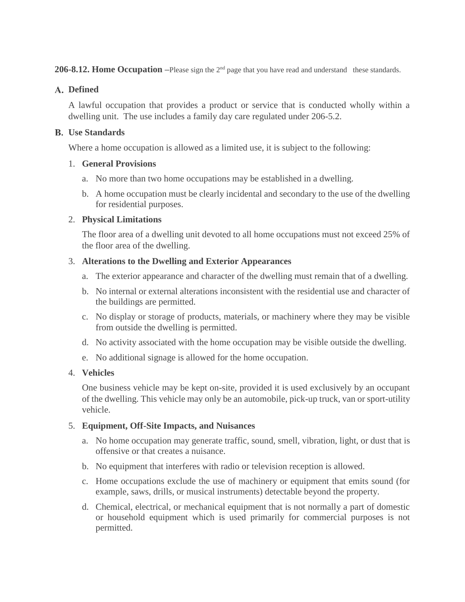**206-8.12. Home Occupation** –Please sign the 2<sup>nd</sup> page that you have read and understand these standards.

#### **Defined**

A lawful occupation that provides a product or service that is conducted wholly within a dwelling unit. The use includes a family day care regulated under 206-5.2.

#### **Use Standards**

Where a home occupation is allowed as a limited use, it is subject to the following:

#### 1. **General Provisions**

- a. No more than two home occupations may be established in a dwelling.
- b. A home occupation must be clearly incidental and secondary to the use of the dwelling for residential purposes.

#### 2. **Physical Limitations**

The floor area of a dwelling unit devoted to all home occupations must not exceed 25% of the floor area of the dwelling.

#### 3. **Alterations to the Dwelling and Exterior Appearances**

- a. The exterior appearance and character of the dwelling must remain that of a dwelling.
- b. No internal or external alterations inconsistent with the residential use and character of the buildings are permitted.
- c. No display or storage of products, materials, or machinery where they may be visible from outside the dwelling is permitted.
- d. No activity associated with the home occupation may be visible outside the dwelling.
- e. No additional signage is allowed for the home occupation.

#### 4. **Vehicles**

One business vehicle may be kept on-site, provided it is used exclusively by an occupant of the dwelling. This vehicle may only be an automobile, pick-up truck, van or sport-utility vehicle.

#### 5. **Equipment, Off-Site Impacts, and Nuisances**

- a. No home occupation may generate traffic, sound, smell, vibration, light, or dust that is offensive or that creates a nuisance.
- b. No equipment that interferes with radio or television reception is allowed.
- c. Home occupations exclude the use of machinery or equipment that emits sound (for example, saws, drills, or musical instruments) detectable beyond the property.
- d. Chemical, electrical, or mechanical equipment that is not normally a part of domestic or household equipment which is used primarily for commercial purposes is not permitted.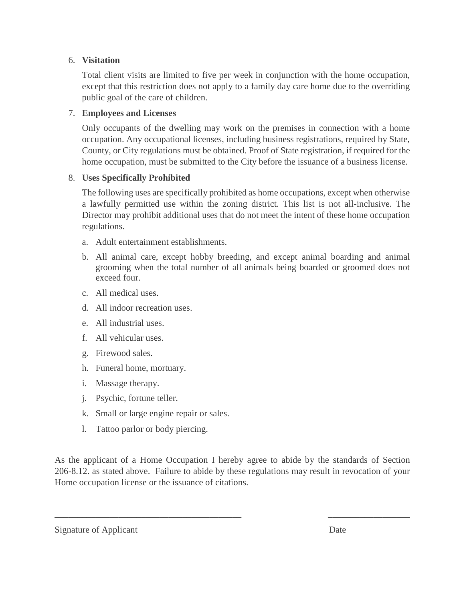#### 6. **Visitation**

Total client visits are limited to five per week in conjunction with the home occupation, except that this restriction does not apply to a family day care home due to the overriding public goal of the care of children.

#### 7. **Employees and Licenses**

Only occupants of the dwelling may work on the premises in connection with a home occupation. Any occupational licenses, including business registrations, required by State, County, or City regulations must be obtained. Proof of State registration, if required for the home occupation, must be submitted to the City before the issuance of a business license.

#### 8. **Uses Specifically Prohibited**

The following uses are specifically prohibited as home occupations, except when otherwise a lawfully permitted use within the zoning district. This list is not all-inclusive. The Director may prohibit additional uses that do not meet the intent of these home occupation regulations.

- a. Adult entertainment establishments.
- b. All animal care, except hobby breeding, and except animal boarding and animal grooming when the total number of all animals being boarded or groomed does not exceed four.
- c. All medical uses.
- d. All indoor recreation uses.
- e. All industrial uses.
- f. All vehicular uses.
- g. Firewood sales.
- h. Funeral home, mortuary.
- i. Massage therapy.
- j. Psychic, fortune teller.
- k. Small or large engine repair or sales.
- l. Tattoo parlor or body piercing.

As the applicant of a Home Occupation I hereby agree to abide by the standards of Section 206-8.12. as stated above. Failure to abide by these regulations may result in revocation of your Home occupation license or the issuance of citations.

 $\overline{\phantom{a}}$  , and the contribution of the contribution of the contribution of the contribution of  $\overline{\phantom{a}}$  , and  $\overline{\phantom{a}}$ 

#### Signature of Applicant Date